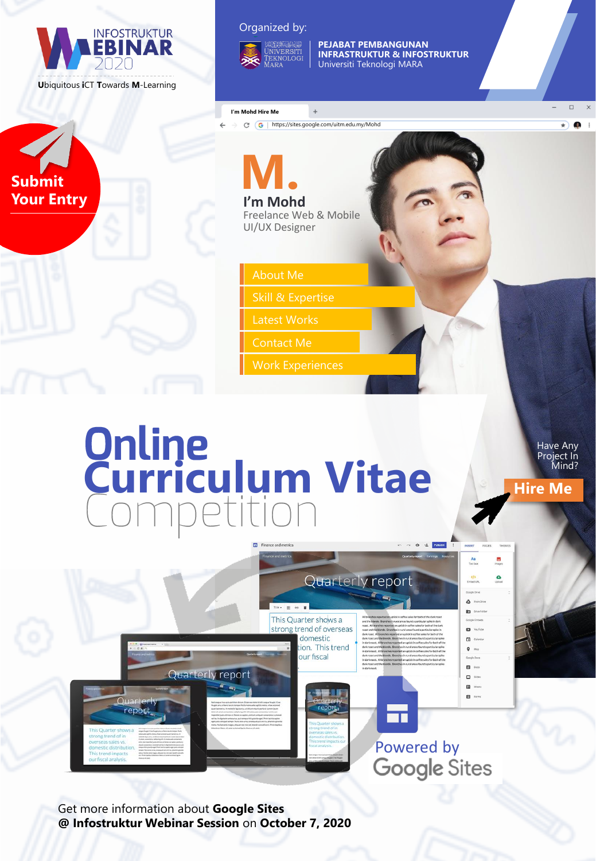

### Organized by:



**PEJABAT PEMBANGUNAN INFRASTRUKTUR & INFOSTRUKTUR** Universiti Teknologi MARA

### **I'm Mohd Hire Me**

 $\leftarrow$ 

 $\rightarrow$  C  $\left(G$  | https://sites.google.com/uitm.edu.my/Mohd

 $+$ 

**Submit Your Entry**

## **I'm Mohd** Freelance Web & Mobile **M.**

UI/UX Designer

About Me

Skill & Expertise

Latest Works

Contact Me

Work Experiences

## **Curriculum Vitae**

Have Any Project In Mind?

 $\Box$ 

 $\Box$ 

**Hire Me**

 $\bullet$ 



Get more information about **Google Sites @ Infostruktur Webinar Session** on **October 7, 2020**